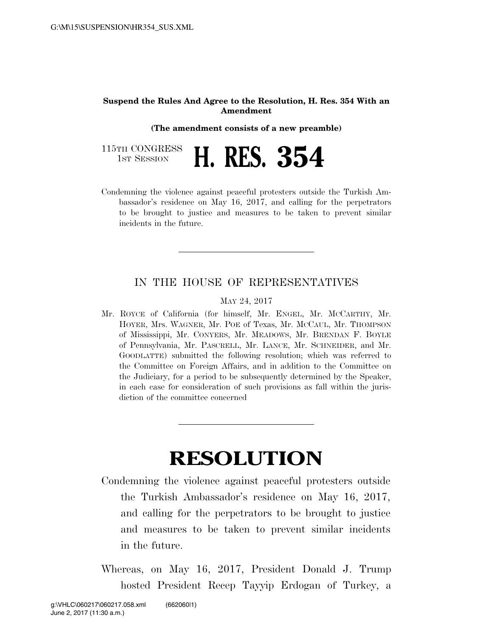## **Suspend the Rules And Agree to the Resolution, H. Res. 354 With an Amendment**

**(The amendment consists of a new preamble)** 

| 115TH CONGRESS<br>1st Session | $\blacksquare$ |  | H. RES. 354 |
|-------------------------------|----------------|--|-------------|
|-------------------------------|----------------|--|-------------|

Condemning the violence against peaceful protesters outside the Turkish Ambassador's residence on May 16, 2017, and calling for the perpetrators to be brought to justice and measures to be taken to prevent similar incidents in the future.

## IN THE HOUSE OF REPRESENTATIVES

## MAY 24, 2017

Mr. ROYCE of California (for himself, Mr. ENGEL, Mr. MCCARTHY, Mr. HOYER, Mrs. WAGNER, Mr. POE of Texas, Mr. MCCAUL, Mr. THOMPSON of Mississippi, Mr. CONYERS, Mr. MEADOWS, Mr. BRENDAN F. BOYLE of Pennsylvania, Mr. PASCRELL, Mr. LANCE, Mr. SCHNEIDER, and Mr. GOODLATTE) submitted the following resolution; which was referred to the Committee on Foreign Affairs, and in addition to the Committee on the Judiciary, for a period to be subsequently determined by the Speaker, in each case for consideration of such provisions as fall within the jurisdiction of the committee concerned

## **RESOLUTION**

- Condemning the violence against peaceful protesters outside the Turkish Ambassador's residence on May 16, 2017, and calling for the perpetrators to be brought to justice and measures to be taken to prevent similar incidents in the future.
- Whereas, on May 16, 2017, President Donald J. Trump hosted President Recep Tayyip Erdogan of Turkey, a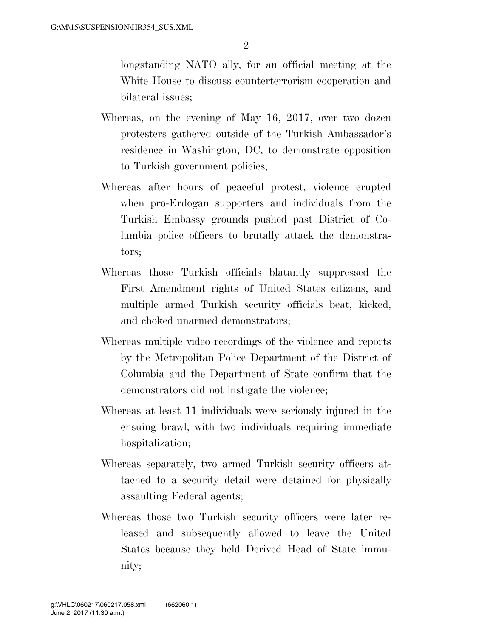longstanding NATO ally, for an official meeting at the White House to discuss counterterrorism cooperation and bilateral issues;

- Whereas, on the evening of May 16, 2017, over two dozen protesters gathered outside of the Turkish Ambassador's residence in Washington, DC, to demonstrate opposition to Turkish government policies;
- Whereas after hours of peaceful protest, violence erupted when pro-Erdogan supporters and individuals from the Turkish Embassy grounds pushed past District of Columbia police officers to brutally attack the demonstrators;
- Whereas those Turkish officials blatantly suppressed the First Amendment rights of United States citizens, and multiple armed Turkish security officials beat, kicked, and choked unarmed demonstrators;
- Whereas multiple video recordings of the violence and reports by the Metropolitan Police Department of the District of Columbia and the Department of State confirm that the demonstrators did not instigate the violence;
- Whereas at least 11 individuals were seriously injured in the ensuing brawl, with two individuals requiring immediate hospitalization;
- Whereas separately, two armed Turkish security officers attached to a security detail were detained for physically assaulting Federal agents;
- Whereas those two Turkish security officers were later released and subsequently allowed to leave the United States because they held Derived Head of State immunity;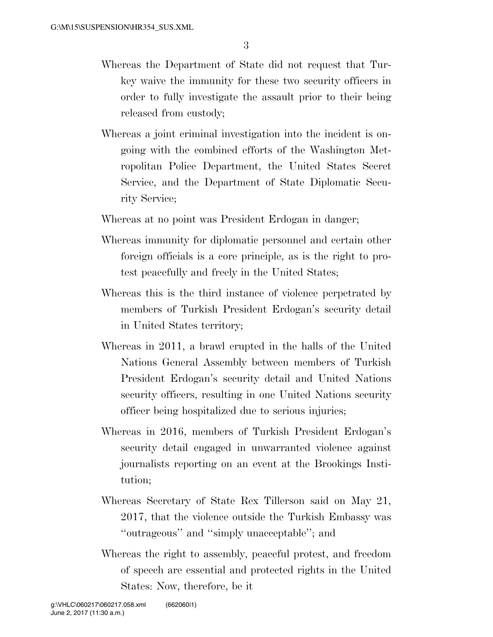- Whereas the Department of State did not request that Turkey waive the immunity for these two security officers in order to fully investigate the assault prior to their being released from custody;
- Whereas a joint criminal investigation into the incident is ongoing with the combined efforts of the Washington Metropolitan Police Department, the United States Secret Service, and the Department of State Diplomatic Security Service;

Whereas at no point was President Erdogan in danger;

- Whereas immunity for diplomatic personnel and certain other foreign officials is a core principle, as is the right to protest peacefully and freely in the United States;
- Whereas this is the third instance of violence perpetrated by members of Turkish President Erdogan's security detail in United States territory;
- Whereas in 2011, a brawl erupted in the halls of the United Nations General Assembly between members of Turkish President Erdogan's security detail and United Nations security officers, resulting in one United Nations security officer being hospitalized due to serious injuries;
- Whereas in 2016, members of Turkish President Erdogan's security detail engaged in unwarranted violence against journalists reporting on an event at the Brookings Institution;
- Whereas Secretary of State Rex Tillerson said on May 21, 2017, that the violence outside the Turkish Embassy was ''outrageous'' and ''simply unacceptable''; and
- Whereas the right to assembly, peaceful protest, and freedom of speech are essential and protected rights in the United States: Now, therefore, be it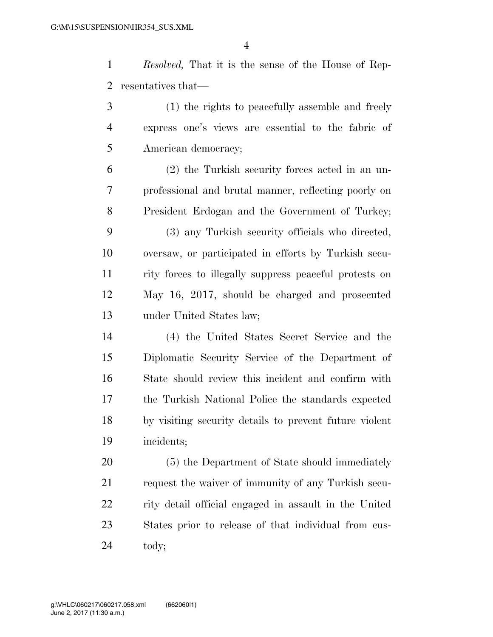*Resolved,* That it is the sense of the House of Rep-resentatives that—

 (1) the rights to peacefully assemble and freely express one's views are essential to the fabric of American democracy;

 (2) the Turkish security forces acted in an un- professional and brutal manner, reflecting poorly on President Erdogan and the Government of Turkey;

 (3) any Turkish security officials who directed, oversaw, or participated in efforts by Turkish secu- rity forces to illegally suppress peaceful protests on May 16, 2017, should be charged and prosecuted under United States law;

 (4) the United States Secret Service and the Diplomatic Security Service of the Department of State should review this incident and confirm with the Turkish National Police the standards expected by visiting security details to prevent future violent incidents;

 (5) the Department of State should immediately request the waiver of immunity of any Turkish secu- rity detail official engaged in assault in the United States prior to release of that individual from cus-tody;